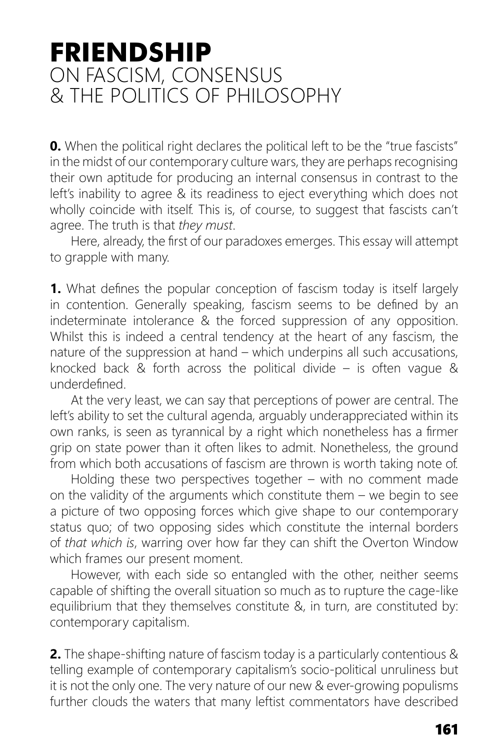## **FRIENDSHIP** ON FASCISM, CONSENSUS & THE POLITICS OF PHILOSOPHY

**0.** When the political right declares the political left to be the "true fascists" in the midst of our contemporary culture wars, they are perhaps recognising their own aptitude for producing an internal consensus in contrast to the left's inability to agree & its readiness to eject everything which does not wholly coincide with itself. This is, of course, to suggest that fascists can't agree. The truth is that *they must*.

Here, already, the first of our paradoxes emerges. This essay will attempt to grapple with many.

**1.** What defines the popular conception of fascism today is itself largely in contention. Generally speaking, fascism seems to be defined by an indeterminate intolerance & the forced suppression of any opposition. Whilst this is indeed a central tendency at the heart of any fascism, the nature of the suppression at hand – which underpins all such accusations, knocked back & forth across the political divide – is often vague & underdefined

At the very least, we can say that perceptions of power are central. The left's ability to set the cultural agenda, arguably underappreciated within its own ranks, is seen as tyrannical by a right which nonetheless has a firmer grip on state power than it often likes to admit. Nonetheless, the ground from which both accusations of fascism are thrown is worth taking note of.

Holding these two perspectives together – with no comment made on the validity of the arguments which constitute them – we begin to see a picture of two opposing forces which give shape to our contemporary status quo; of two opposing sides which constitute the internal borders of *that which is*, warring over how far they can shift the Overton Window which frames our present moment.

However, with each side so entangled with the other, neither seems capable of shifting the overall situation so much as to rupture the cage-like equilibrium that they themselves constitute &, in turn, are constituted by: contemporary capitalism.

**2.** The shape-shifting nature of fascism today is a particularly contentious & telling example of contemporary capitalism's socio-political unruliness but it is not the only one. The very nature of our new & ever-growing populisms further clouds the waters that many leftist commentators have described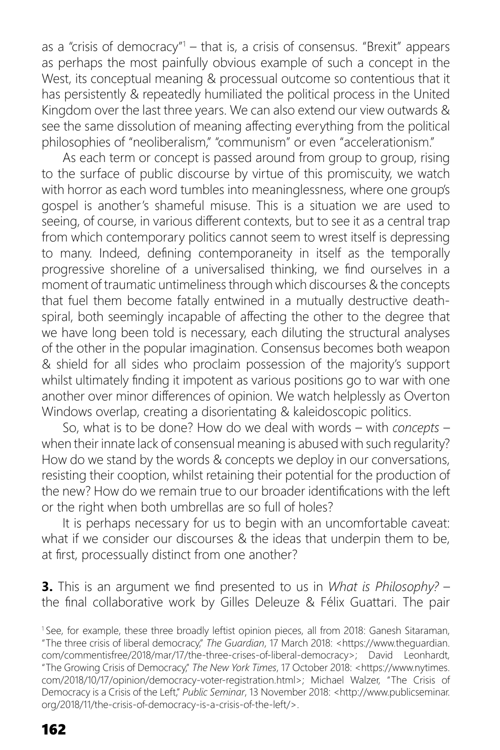as a "crisis of democracy"<sup>1</sup> – that is, a crisis of consensus. "Brexit" appears as perhaps the most painfully obvious example of such a concept in the West, its conceptual meaning & processual outcome so contentious that it has persistently & repeatedly humiliated the political process in the United Kingdom over the last three years. We can also extend our view outwards & see the same dissolution of meaning affecting everything from the political philosophies of "neoliberalism," "communism" or even "accelerationism."

As each term or concept is passed around from group to group, rising to the surface of public discourse by virtue of this promiscuity, we watch with horror as each word tumbles into meaninglessness, where one group's gospel is another's shameful misuse. This is a situation we are used to seeing, of course, in various different contexts, but to see it as a central trap from which contemporary politics cannot seem to wrest itself is depressing to many. Indeed, defining contemporaneity in itself as the temporally progressive shoreline of a universalised thinking, we find ourselves in a moment of traumatic untimeliness through which discourses & the concepts that fuel them become fatally entwined in a mutually destructive deathspiral, both seemingly incapable of affecting the other to the degree that we have long been told is necessary, each diluting the structural analyses of the other in the popular imagination. Consensus becomes both weapon & shield for all sides who proclaim possession of the majority's support whilst ultimately finding it impotent as various positions go to war with one another over minor differences of opinion. We watch helplessly as Overton Windows overlap, creating a disorientating & kaleidoscopic politics.

So, what is to be done? How do we deal with words – with *concepts* – when their innate lack of consensual meaning is abused with such regularity? How do we stand by the words & concepts we deploy in our conversations, resisting their cooption, whilst retaining their potential for the production of the new? How do we remain true to our broader identifications with the left or the right when both umbrellas are so full of holes?

It is perhaps necessary for us to begin with an uncomfortable caveat: what if we consider our discourses & the ideas that underpin them to be, at first, processually distinct from one another?

**3.** This is an argument we find presented to us in *What is Philosophy?* – the final collaborative work by Gilles Deleuze & Félix Guattari. The pair

<sup>1</sup> See, for example, these three broadly leftist opinion pieces, all from 2018: Ganesh Sitaraman, "The three crisis of liberal democracy," *The Guardian*, 17 March 2018: <https://www.theguardian. com/commentisfree/2018/mar/17/the-three-crises-of-liberal-democracy>; David Leonhardt, "The Growing Crisis of Democracy," *The New York Times*, 17 October 2018: <https://www.nytimes. com/2018/10/17/opinion/democracy-voter-registration.html>; Michael Walzer, "The Crisis of Democracy is a Crisis of the Left," *Public Seminar*, 13 November 2018: <http://www.publicseminar. org/2018/11/the-crisis-of-democracy-is-a-crisis-of-the-left/>.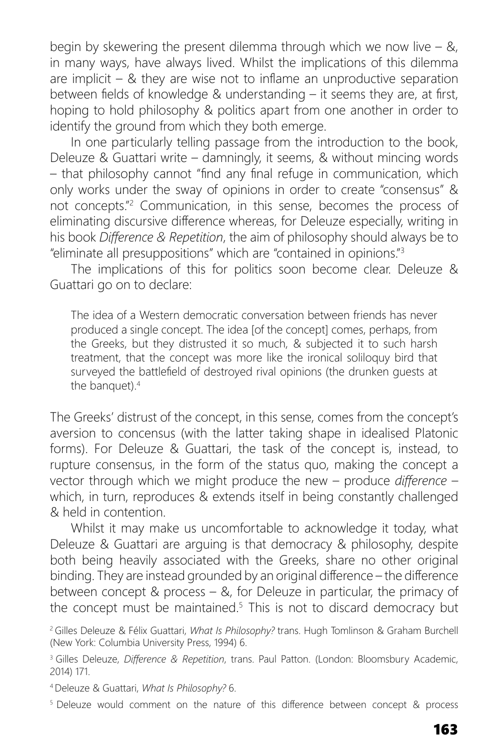begin by skewering the present dilemma through which we now live  $-$  &, in many ways, have always lived. Whilst the implications of this dilemma are implicit  $-$  & they are wise not to inflame an unproductive separation between fields of knowledge & understanding  $-$  it seems they are, at first, hoping to hold philosophy & politics apart from one another in order to identify the ground from which they both emerge.

In one particularly telling passage from the introduction to the book, Deleuze & Guattari write – damningly, it seems, & without mincing words  $-$  that philosophy cannot "find any final refuge in communication, which only works under the sway of opinions in order to create "consensus" & not concepts."2 Communication, in this sense, becomes the process of eliminating discursive difference whereas, for Deleuze especially, writing in his book *Diff erence & Repetition*, the aim of philosophy should always be to "eliminate all presuppositions" which are "contained in opinions."3

The implications of this for politics soon become clear. Deleuze & Guattari go on to declare:

The idea of a Western democratic conversation between friends has never produced a single concept. The idea [of the concept] comes, perhaps, from the Greeks, but they distrusted it so much, & subjected it to such harsh treatment, that the concept was more like the ironical soliloquy bird that surveyed the battlefield of destroyed rival opinions (the drunken quests at the banquet).<sup>4</sup>

The Greeks' distrust of the concept, in this sense, comes from the concept's aversion to concensus (with the latter taking shape in idealised Platonic forms). For Deleuze & Guattari, the task of the concept is, instead, to rupture consensus, in the form of the status quo, making the concept a vector through which we might produce the new – produce *difference* – which, in turn, reproduces & extends itself in being constantly challenged & held in contention.

Whilst it may make us uncomfortable to acknowledge it today, what Deleuze & Guattari are arguing is that democracy & philosophy, despite both being heavily associated with the Greeks, share no other original binding. They are instead grounded by an original difference – the difference between concept & process – &, for Deleuze in particular, the primacy of the concept must be maintained.<sup>5</sup> This is not to discard democracy but

2 Gilles Deleuze & Félix Guattari, *What Is Philosophy?* trans. Hugh Tomlinson & Graham Burchell (New York: Columbia University Press, 1994) 6.

<sup>3</sup> Gilles Deleuze, *Difference & Repetition*, trans. Paul Patton. (London: Bloomsbury Academic, 2014) 171.

4 Deleuze & Guattari, *What Is Philosophy?* 6.

<sup>5</sup> Deleuze would comment on the nature of this difference between concept & process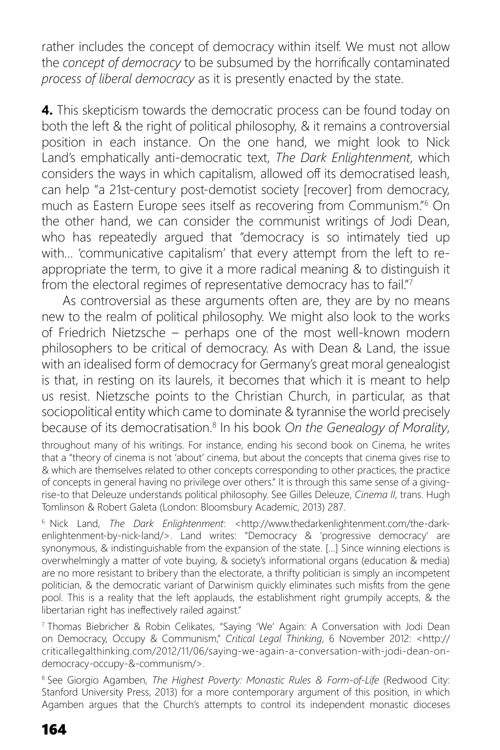rather includes the concept of democracy within itself. We must not allow the *concept of democracy* to be subsumed by the horrifically contaminated *process of liberal democracy* as it is presently enacted by the state.

**4.** This skepticism towards the democratic process can be found today on both the left & the right of political philosophy, & it remains a controversial position in each instance. On the one hand, we might look to Nick Land's emphatically anti-democratic text, *The Dark Enlightenment*, which considers the ways in which capitalism, allowed off its democratised leash, can help "a 21st-century post-demotist society [recover] from democracy, much as Eastern Europe sees itself as recovering from Communism."6 On the other hand, we can consider the communist writings of Jodi Dean, who has repeatedly argued that "democracy is so intimately tied up with… 'communicative capitalism' that every attempt from the left to reappropriate the term, to give it a more radical meaning & to distinguish it from the electoral regimes of representative democracy has to fail."<sup>7</sup>

As controversial as these arguments often are, they are by no means new to the realm of political philosophy. We might also look to the works of Friedrich Nietzsche – perhaps one of the most well-known modern philosophers to be critical of democracy. As with Dean & Land, the issue with an idealised form of democracy for Germany's great moral genealogist is that, in resting on its laurels, it becomes that which it is meant to help us resist. Nietzsche points to the Christian Church, in particular, as that sociopolitical entity which came to dominate & tyrannise the world precisely because of its democratisation.8 In his book *On the Genealogy of Morality*,

throughout many of his writings. For instance, ending his second book on Cinema, he writes that a "theory of cinema is not 'about' cinema, but about the concepts that cinema gives rise to & which are themselves related to other concepts corresponding to other practices, the practice of concepts in general having no privilege over others." It is through this same sense of a givingrise-to that Deleuze understands political philosophy. See Gilles Deleuze, *Cinema II*, trans. Hugh Tomlinson & Robert Galeta (London: Bloomsbury Academic, 2013) 287.

6 Nick Land, *The Dark Enlightenment*: <http://www.thedarkenlightenment.com/the-darkenlightenment-by-nick-land/>. Land writes: "Democracy & 'progressive democracy' are synonymous, & indistinguishable from the expansion of the state. […] Since winning elections is overwhelmingly a matter of vote buying, & society's informational organs (education & media) are no more resistant to bribery than the electorate, a thrifty politician is simply an incompetent politician, & the democratic variant of Darwinism quickly eliminates such misfits from the gene pool. This is a reality that the left applauds, the establishment right grumpily accepts,  $\tilde{X}$  the libertarian right has ineffectively railed against."

7 Thomas Biebricher & Robin Celikates, "Saying 'We' Again: A Conversation with Jodi Dean on Democracy, Occupy & Communism," *Critical Legal Thinking*, 6 November 2012: <http:// criticallegalthinking.com/2012/11/06/saying-we-again-a-conversation-with-jodi-dean-ondemocracy-occupy-&-communism/>.

8 See Giorgio Agamben, *The Highest Poverty: Monastic Rules & Form-of-Life* (Redwood City: Stanford University Press, 2013) for a more contemporary argument of this position, in which Agamben argues that the Church's attempts to control its independent monastic dioceses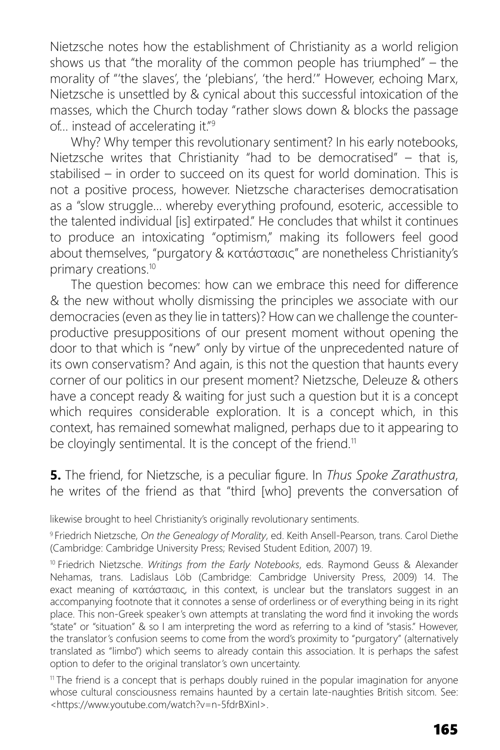Nietzsche notes how the establishment of Christianity as a world religion shows us that "the morality of the common people has triumphed" – the morality of "'the slaves', the 'plebians', 'the herd.'" However, echoing Marx, Nietzsche is unsettled by & cynical about this successful intoxication of the masses, which the Church today "rather slows down & blocks the passage of… instead of accelerating it."9

Why? Why temper this revolutionary sentiment? In his early notebooks, Nietzsche writes that Christianity "had to be democratised" – that is, stabilised – in order to succeed on its quest for world domination. This is not a positive process, however. Nietzsche characterises democratisation as a "slow struggle… whereby everything profound, esoteric, accessible to the talented individual [is] extirpated." He concludes that whilst it continues to produce an intoxicating "optimism," making its followers feel good about themselves, "purgatory & κατάστασις" are nonetheless Christianity's primary creations.10

The question becomes: how can we embrace this need for difference & the new without wholly dismissing the principles we associate with our democracies (even as they lie in tatters)? How can we challenge the counterproductive presuppositions of our present moment without opening the door to that which is "new" only by virtue of the unprecedented nature of its own conservatism? And again, is this not the question that haunts every corner of our politics in our present moment? Nietzsche, Deleuze & others have a concept ready & waiting for just such a question but it is a concept which requires considerable exploration. It is a concept which, in this context, has remained somewhat maligned, perhaps due to it appearing to be cloyingly sentimental. It is the concept of the friend.<sup>11</sup>

**5.** The friend, for Nietzsche, is a peculiar figure. In *Thus Spoke Zarathustra*, he writes of the friend as that "third [who] prevents the conversation of

likewise brought to heel Christianity's originally revolutionary sentiments.

9 Friedrich Nietzsche, *On the Genealogy of Morality*, ed. Keith Ansell-Pearson, trans. Carol Diethe (Cambridge: Cambridge University Press; Revised Student Edition, 2007) 19.

10 Friedrich Nietzsche. *Writings from the Early Notebooks*, eds. Raymond Geuss & Alexander Nehamas, trans. Ladislaus Löb (Cambridge: Cambridge University Press, 2009) 14. The exact meaning of κατάστασις, in this context, is unclear but the translators suggest in an accompanying footnote that it connotes a sense of orderliness or of everything being in its right place. This non-Greek speaker's own attempts at translating the word find it invoking the words "state" or "situation" & so I am interpreting the word as referring to a kind of "stasis." However, the translator's confusion seems to come from the word's proximity to "purgatory" (alternatively translated as "limbo") which seems to already contain this association. It is perhaps the safest option to defer to the original translator's own uncertainty.

<sup>11</sup> The friend is a concept that is perhaps doubly ruined in the popular imagination for anyone whose cultural consciousness remains haunted by a certain late-naughties British sitcom. See: <https://www.youtube.com/watch?v=n-5fdrBXinI>.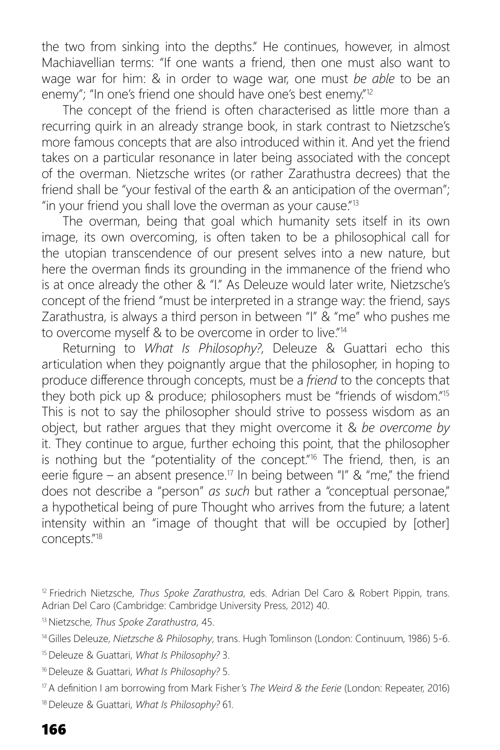the two from sinking into the depths." He continues, however, in almost Machiavellian terms: "If one wants a friend, then one must also want to wage war for him: & in order to wage war, one must *be able* to be an enemy"; "In one's friend one should have one's best enemy."<sup>12</sup>

The concept of the friend is often characterised as little more than a recurring quirk in an already strange book, in stark contrast to Nietzsche's more famous concepts that are also introduced within it. And yet the friend takes on a particular resonance in later being associated with the concept of the overman. Nietzsche writes (or rather Zarathustra decrees) that the friend shall be "your festival of the earth & an anticipation of the overman"; "in your friend you shall love the overman as your cause."13

The overman, being that goal which humanity sets itself in its own image, its own overcoming, is often taken to be a philosophical call for the utopian transcendence of our present selves into a new nature, but here the overman finds its grounding in the immanence of the friend who is at once already the other & "I." As Deleuze would later write, Nietzsche's concept of the friend "must be interpreted in a strange way: the friend, says Zarathustra, is always a third person in between "I" & "me" who pushes me to overcome myself & to be overcome in order to live."14

Returning to *What Is Philosophy?*, Deleuze & Guattari echo this articulation when they poignantly argue that the philosopher, in hoping to produce difference through concepts, must be a *friend* to the concepts that they both pick up & produce; philosophers must be "friends of wisdom."15 This is not to say the philosopher should strive to possess wisdom as an object, but rather argues that they might overcome it & *be overcome by* it. They continue to argue, further echoing this point, that the philosopher is nothing but the "potentiality of the concept."<sup>16</sup> The friend, then, is an eerie flaure – an absent presence.<sup>17</sup> In being between "I" & "me," the friend does not describe a "person" *as such* but rather a "conceptual personae," a hypothetical being of pure Thought who arrives from the future; a latent intensity within an "image of thought that will be occupied by [other] concepts."18

- 15 Deleuze & Guattari, *What Is Philosophy?* 3.
- 16 Deleuze & Guattari, *What Is Philosophy?* 5.

18 Deleuze & Guattari, *What Is Philosophy?* 61.

<sup>12</sup> Friedrich Nietzsche, *Thus Spoke Zarathustra*, eds. Adrian Del Caro & Robert Pippin, trans. Adrian Del Caro (Cambridge: Cambridge University Press, 2012) 40.

<sup>13</sup> Nietzsche, *Thus Spoke Zarathustra*, 45.

<sup>14</sup> Gilles Deleuze, *Nietzsche & Philosophy*, trans. Hugh Tomlinson (London: Continuum, 1986) 5-6.

<sup>&</sup>lt;sup>17</sup> A definition I am borrowing from Mark Fisher's *The Weird & the Eerie* (London: Repeater, 2016)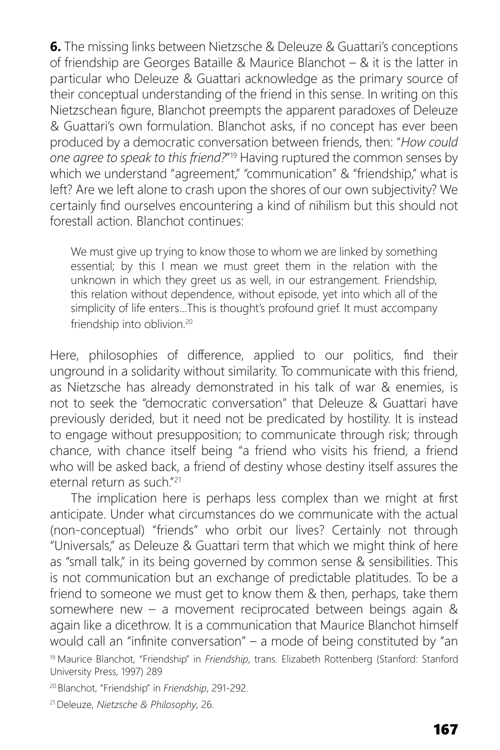**6.** The missing links between Nietzsche & Deleuze & Guattari's conceptions of friendship are Georges Bataille & Maurice Blanchot – & it is the latter in particular who Deleuze & Guattari acknowledge as the primary source of their conceptual understanding of the friend in this sense. In writing on this Nietzschean figure, Blanchot preempts the apparent paradoxes of Deleuze & Guattari's own formulation. Blanchot asks, if no concept has ever been produced by a democratic conversation between friends, then: "*How could one agree to speak to this friend?*"19 Having ruptured the common senses by which we understand "agreement," "communication" & "friendship," what is left? Are we left alone to crash upon the shores of our own subjectivity? We certainly find ourselves encountering a kind of nihilism but this should not forestall action. Blanchot continues:

We must give up trying to know those to whom we are linked by something essential; by this I mean we must greet them in the relation with the unknown in which they greet us as well, in our estrangement. Friendship, this relation without dependence, without episode, yet into which all of the simplicity of life enters…This is thought's profound grief. It must accompany friendship into oblivion.<sup>20</sup>

Here, philosophies of difference, applied to our politics, find their unground in a solidarity without similarity. To communicate with this friend, as Nietzsche has already demonstrated in his talk of war & enemies, is not to seek the "democratic conversation" that Deleuze & Guattari have previously derided, but it need not be predicated by hostility. It is instead to engage without presupposition; to communicate through risk; through chance, with chance itself being "a friend who visits his friend, a friend who will be asked back, a friend of destiny whose destiny itself assures the eternal return as such<sup>"21</sup>

The implication here is perhaps less complex than we might at first anticipate. Under what circumstances do we communicate with the actual (non-conceptual) "friends" who orbit our lives? Certainly not through "Universals," as Deleuze & Guattari term that which we might think of here as "small talk," in its being governed by common sense & sensibilities. This is not communication but an exchange of predictable platitudes. To be a friend to someone we must get to know them & then, perhaps, take them somewhere new – a movement reciprocated between beings again & again like a dicethrow. It is a communication that Maurice Blanchot himself would call an "infinite conversation" – a mode of being constituted by "an

19 Maurice Blanchot, "Friendship" in *Friendship*, trans. Elizabeth Rottenberg (Stanford: Stanford University Press, 1997) 289

20 Blanchot, "Friendship" in *Friendship*, 291-292.

21 Deleuze, *Nietzsche & Philosophy*, 26.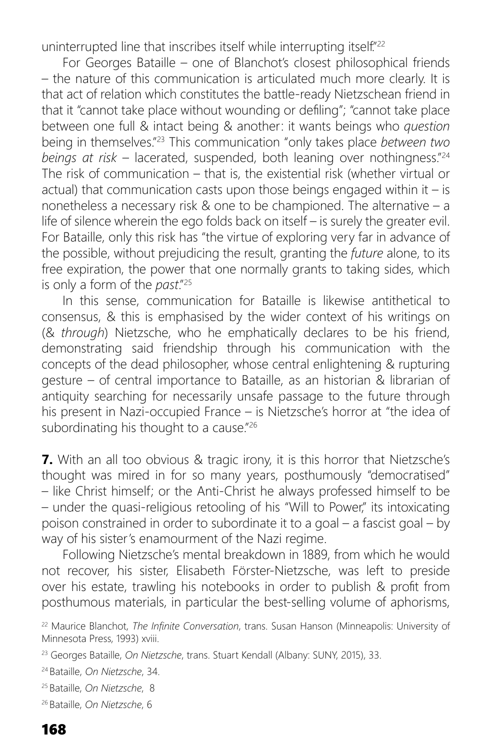uninterrupted line that inscribes itself while interrupting itself."<sup>22</sup>

For Georges Bataille – one of Blanchot's closest philosophical friends – the nature of this communication is articulated much more clearly. It is that act of relation which constitutes the battle-ready Nietzschean friend in that it "cannot take place without wounding or defiling"; "cannot take place between one full & intact being & another: it wants beings who *question* being in themselves."23 This communication "only takes place *between two beings at risk* – lacerated, suspended, both leaning over nothingness."24 The risk of communication – that is, the existential risk (whether virtual or actual) that communication casts upon those beings engaged within it – is nonetheless a necessary risk & one to be championed. The alternative – a life of silence wherein the ego folds back on itself – is surely the greater evil. For Bataille, only this risk has "the virtue of exploring very far in advance of the possible, without prejudicing the result, granting the *future* alone, to its free expiration, the power that one normally grants to taking sides, which is only a form of the *past*."25

In this sense, communication for Bataille is likewise antithetical to consensus, & this is emphasised by the wider context of his writings on (& *through*) Nietzsche, who he emphatically declares to be his friend, demonstrating said friendship through his communication with the concepts of the dead philosopher, whose central enlightening & rupturing gesture – of central importance to Bataille, as an historian & librarian of antiquity searching for necessarily unsafe passage to the future through his present in Nazi-occupied France – is Nietzsche's horror at "the idea of subordinating his thought to a cause."<sup>26</sup>

**7.** With an all too obvious & tragic irony, it is this horror that Nietzsche's thought was mired in for so many years, posthumously "democratised" – like Christ himself; or the Anti-Christ he always professed himself to be – under the quasi-religious retooling of his "Will to Power," its intoxicating poison constrained in order to subordinate it to a goal – a fascist goal – by way of his sister's enamourment of the Nazi regime.

Following Nietzsche's mental breakdown in 1889, from which he would not recover, his sister, Elisabeth Förster-Nietzsche, was left to preside over his estate, trawling his notebooks in order to publish & profit from posthumous materials, in particular the best-selling volume of aphorisms,

<sup>&</sup>lt;sup>22</sup> Maurice Blanchot, *The Infinite Conversation*, trans. Susan Hanson (Minneapolis: University of Minnesota Press, 1993) xviii.

<sup>23</sup> Georges Bataille, *On Nietzsche*, trans. Stuart Kendall (Albany: SUNY, 2015), 33.

<sup>24</sup> Bataille, *On Nietzsche*, 34.

<sup>25</sup> Bataille, *On Nietzsche*, 8

<sup>26</sup> Bataille, *On Nietzsche*, 6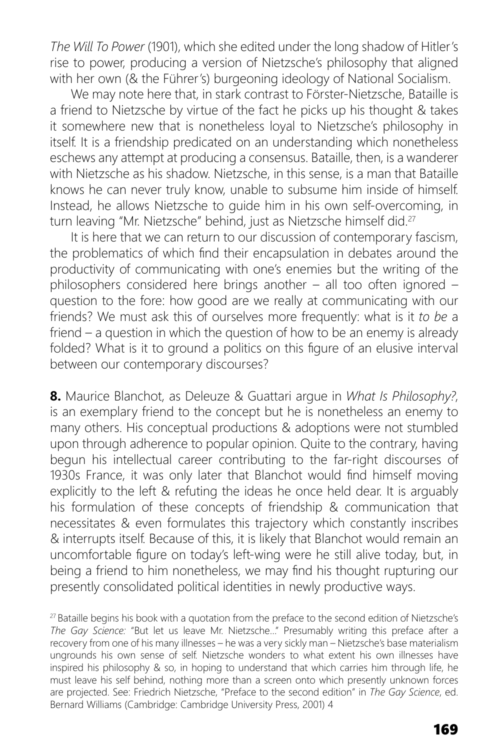*The Will To Power* (1901), which she edited under the long shadow of Hitler's rise to power, producing a version of Nietzsche's philosophy that aligned with her own (& the Führer's) burgeoning ideology of National Socialism.

We may note here that, in stark contrast to Förster-Nietzsche, Bataille is a friend to Nietzsche by virtue of the fact he picks up his thought & takes it somewhere new that is nonetheless loyal to Nietzsche's philosophy in itself. It is a friendship predicated on an understanding which nonetheless eschews any attempt at producing a consensus. Bataille, then, is a wanderer with Nietzsche as his shadow. Nietzsche, in this sense, is a man that Bataille knows he can never truly know, unable to subsume him inside of himself. Instead, he allows Nietzsche to guide him in his own self-overcoming, in turn leaving "Mr. Nietzsche" behind, just as Nietzsche himself did.<sup>27</sup>

It is here that we can return to our discussion of contemporary fascism, the problematics of which find their encapsulation in debates around the productivity of communicating with one's enemies but the writing of the philosophers considered here brings another – all too often ignored – question to the fore: how good are we really at communicating with our friends? We must ask this of ourselves more frequently: what is it *to be* a friend – a question in which the question of how to be an enemy is already folded? What is it to ground a politics on this figure of an elusive interval between our contemporary discourses?

**8.** Maurice Blanchot, as Deleuze & Guattari argue in *What Is Philosophy?*, is an exemplary friend to the concept but he is nonetheless an enemy to many others. His conceptual productions & adoptions were not stumbled upon through adherence to popular opinion. Quite to the contrary, having begun his intellectual career contributing to the far-right discourses of 1930s France, it was only later that Blanchot would find himself moving explicitly to the left & refuting the ideas he once held dear. It is arguably his formulation of these concepts of friendship & communication that necessitates & even formulates this trajectory which constantly inscribes & interrupts itself. Because of this, it is likely that Blanchot would remain an uncomfortable figure on today's left-wing were he still alive today, but, in being a friend to him nonetheless, we may find his thought rupturing our presently consolidated political identities in newly productive ways.

<sup>&</sup>lt;sup>27</sup> Bataille begins his book with a quotation from the preface to the second edition of Nietzsche's *The Gay Science:* "But let us leave Mr. Nietzsche…" Presumably writing this preface after a recovery from one of his many illnesses – he was a very sickly man – Nietzsche's base materialism ungrounds his own sense of self. Nietzsche wonders to what extent his own illnesses have inspired his philosophy & so, in hoping to understand that which carries him through life, he must leave his self behind, nothing more than a screen onto which presently unknown forces are projected. See: Friedrich Nietzsche, "Preface to the second edition" in *The Gay Science*, ed. Bernard Williams (Cambridge: Cambridge University Press, 2001) 4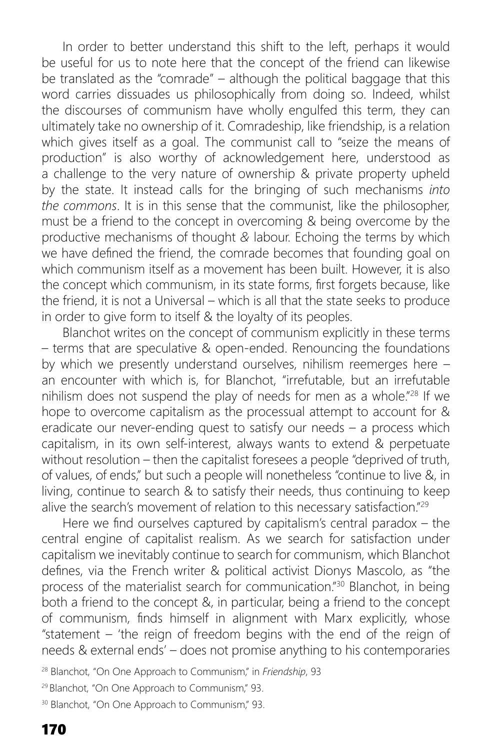In order to better understand this shift to the left, perhaps it would be useful for us to note here that the concept of the friend can likewise be translated as the "comrade" – although the political baggage that this word carries dissuades us philosophically from doing so. Indeed, whilst the discourses of communism have wholly engulfed this term, they can ultimately take no ownership of it. Comradeship, like friendship, is a relation which gives itself as a goal. The communist call to "seize the means of production" is also worthy of acknowledgement here, understood as a challenge to the very nature of ownership & private property upheld by the state. It instead calls for the bringing of such mechanisms *into the commons*. It is in this sense that the communist, like the philosopher, must be a friend to the concept in overcoming & being overcome by the productive mechanisms of thought *&* labour. Echoing the terms by which we have defined the friend, the comrade becomes that founding goal on which communism itself as a movement has been built. However, it is also the concept which communism, in its state forms, first forgets because, like the friend, it is not a Universal – which is all that the state seeks to produce in order to give form to itself & the loyalty of its peoples.

Blanchot writes on the concept of communism explicitly in these terms – terms that are speculative & open-ended. Renouncing the foundations by which we presently understand ourselves, nihilism reemerges here – an encounter with which is, for Blanchot, "irrefutable, but an irrefutable nihilism does not suspend the play of needs for men as a whole."28 If we hope to overcome capitalism as the processual attempt to account for & eradicate our never-ending quest to satisfy our needs – a process which capitalism, in its own self-interest, always wants to extend & perpetuate without resolution – then the capitalist foresees a people "deprived of truth, of values, of ends," but such a people will nonetheless "continue to live &, in living, continue to search & to satisfy their needs, thus continuing to keep alive the search's movement of relation to this necessary satisfaction."29

Here we find ourselves captured by capitalism's central paradox  $-$  the central engine of capitalist realism. As we search for satisfaction under capitalism we inevitably continue to search for communism, which Blanchot defines, via the French writer & political activist Dionys Mascolo, as "the process of the materialist search for communication."30 Blanchot, in being both a friend to the concept &, in particular, being a friend to the concept of communism, finds himself in alignment with Marx explicitly, whose "statement – 'the reign of freedom begins with the end of the reign of needs & external ends' – does not promise anything to his contemporaries

28 Blanchot, "On One Approach to Communism," in *Friendship*, 93

<sup>29</sup> Blanchot, "On One Approach to Communism," 93.

<sup>30</sup> Blanchot, "On One Approach to Communism," 93.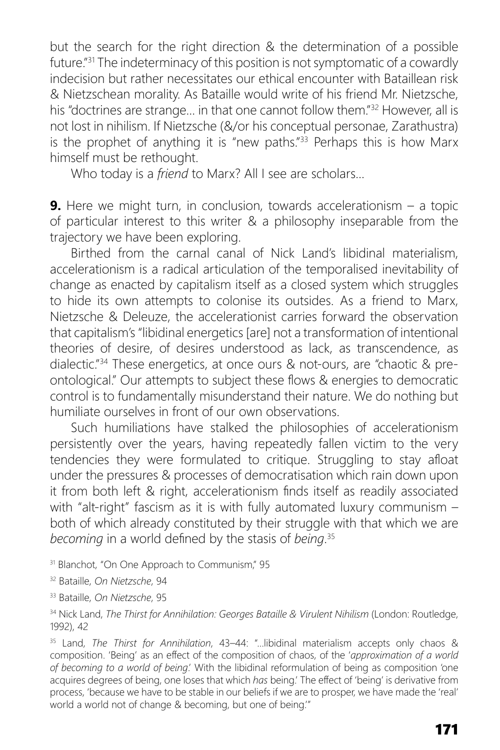but the search for the right direction & the determination of a possible future."<sup>31</sup> The indeterminacy of this position is not symptomatic of a cowardly indecision but rather necessitates our ethical encounter with Bataillean risk & Nietzschean morality. As Bataille would write of his friend Mr. Nietzsche, his "doctrines are strange… in that one cannot follow them."32 However, all is not lost in nihilism. If Nietzsche (&/or his conceptual personae, Zarathustra) is the prophet of anything it is "new paths."<sup>33</sup> Perhaps this is how Marx himself must be rethought.

Who today is a *friend* to Marx? All I see are scholars…

**9.** Here we might turn, in conclusion, towards accelerationism - a topic of particular interest to this writer & a philosophy inseparable from the trajectory we have been exploring.

Birthed from the carnal canal of Nick Land's libidinal materialism, accelerationism is a radical articulation of the temporalised inevitability of change as enacted by capitalism itself as a closed system which struggles to hide its own attempts to colonise its outsides. As a friend to Marx, Nietzsche & Deleuze, the accelerationist carries forward the observation that capitalism's "libidinal energetics [are] not a transformation of intentional theories of desire, of desires understood as lack, as transcendence, as dialectic."34 These energetics, at once ours & not-ours, are "chaotic & preontological." Our attempts to subject these flows & energies to democratic control is to fundamentally misunderstand their nature. We do nothing but humiliate ourselves in front of our own observations.

Such humiliations have stalked the philosophies of accelerationism persistently over the years, having repeatedly fallen victim to the very tendencies they were formulated to critique. Struggling to stay afloat under the pressures & processes of democratisation which rain down upon it from both left & right, accelerationism finds itself as readily associated with "alt-right" fascism as it is with fully automated luxury communism both of which already constituted by their struggle with that which we are becoming in a world defined by the stasis of *being*.<sup>35</sup>

<sup>31</sup> Blanchot, "On One Approach to Communism," 95

32 Bataille, *On Nietzsche*, 94

33 Bataille, *On Nietzsche*, 95

34 Nick Land, *The Thirst for Annihilation: Georges Bataille & Virulent Nihilism* (London: Routledge, 1992), 42

35 Land, *The Thirst for Annihilation*, 43–44: "…libidinal materialism accepts only chaos & composition. 'Being' as an effect of the composition of chaos, of the 'approximation of a world *of becoming to a world of being*.' With the libidinal reformulation of being as composition 'one acquires degrees of being, one loses that which *has* being.' The effect of 'being' is derivative from process, 'because we have to be stable in our beliefs if we are to prosper, we have made the 'real' world a world not of change & becoming, but one of being.'"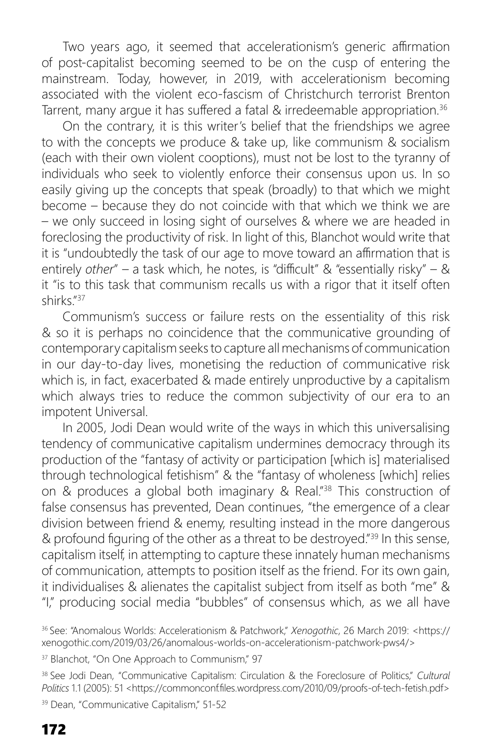Two years ago, it seemed that accelerationism's generic affirmation of post-capitalist becoming seemed to be on the cusp of entering the mainstream. Today, however, in 2019, with accelerationism becoming associated with the violent eco-fascism of Christchurch terrorist Brenton Tarrent, many arque it has suffered a fatal & irredeemable appropriation.<sup>36</sup>

On the contrary, it is this writer's belief that the friendships we agree to with the concepts we produce & take up, like communism & socialism (each with their own violent cooptions), must not be lost to the tyranny of individuals who seek to violently enforce their consensus upon us. In so easily giving up the concepts that speak (broadly) to that which we might become – because they do not coincide with that which we think we are – we only succeed in losing sight of ourselves & where we are headed in foreclosing the productivity of risk. In light of this, Blanchot would write that it is "undoubtedly the task of our age to move toward an affirmation that is entirely *other"* – a task which, he notes, is "difficult" & "essentially risky" – & it "is to this task that communism recalls us with a rigor that it itself often shirks."37

Communism's success or failure rests on the essentiality of this risk & so it is perhaps no coincidence that the communicative grounding of contemporary capitalism seeks to capture all mechanisms of communication in our day-to-day lives, monetising the reduction of communicative risk which is, in fact, exacerbated & made entirely unproductive by a capitalism which always tries to reduce the common subjectivity of our era to an impotent Universal.

In 2005, Jodi Dean would write of the ways in which this universalising tendency of communicative capitalism undermines democracy through its production of the "fantasy of activity or participation [which is] materialised through technological fetishism" & the "fantasy of wholeness [which] relies on & produces a global both imaginary & Real."38 This construction of false consensus has prevented, Dean continues, "the emergence of a clear division between friend & enemy, resulting instead in the more dangerous & profound figuring of the other as a threat to be destroyed." $39$  In this sense, capitalism itself, in attempting to capture these innately human mechanisms of communication, attempts to position itself as the friend. For its own gain, it individualises & alienates the capitalist subject from itself as both "me" & "I," producing social media "bubbles" of consensus which, as we all have

39 Dean, "Communicative Capitalism," 51-52

<sup>36</sup> See: "Anomalous Worlds: Accelerationism & Patchwork," *Xenogothic*, 26 March 2019: <https:// xenogothic.com/2019/03/26/anomalous-worlds-on-accelerationism-patchwork-pws4/>

<sup>&</sup>lt;sup>37</sup> Blanchot, "On One Approach to Communism," 97

<sup>38</sup> See Jodi Dean, "Communicative Capitalism: Circulation & the Foreclosure of Politics," *Cultural*  Politics 1.1 (2005): 51 <https://commonconf.files.wordpress.com/2010/09/proofs-of-tech-fetish.pdf>